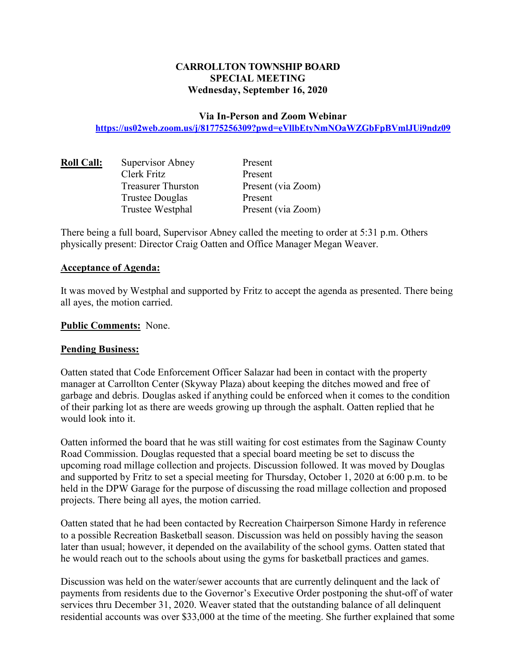# **CARROLLTON TOWNSHIP BOARD SPECIAL MEETING Wednesday, September 16, 2020**

## **Via In-Person and Zoom Webinar https://us02web.zoom.us/j/81775256309?pwd=eVllbEtyNmNOaWZGbFpBVmlJUi9ndz09**

| <b>Roll Call:</b> | Supervisor Abney          | Present            |
|-------------------|---------------------------|--------------------|
|                   | Clerk Fritz               | Present            |
|                   | <b>Treasurer Thurston</b> | Present (via Zoom) |
|                   | Trustee Douglas           | Present            |
|                   | Trustee Westphal          | Present (via Zoom) |

There being a full board, Supervisor Abney called the meeting to order at 5:31 p.m. Others physically present: Director Craig Oatten and Office Manager Megan Weaver.

## **Acceptance of Agenda:**

It was moved by Westphal and supported by Fritz to accept the agenda as presented. There being all ayes, the motion carried.

#### **Public Comments:** None.

#### **Pending Business:**

Oatten stated that Code Enforcement Officer Salazar had been in contact with the property manager at Carrollton Center (Skyway Plaza) about keeping the ditches mowed and free of garbage and debris. Douglas asked if anything could be enforced when it comes to the condition of their parking lot as there are weeds growing up through the asphalt. Oatten replied that he would look into it.

Oatten informed the board that he was still waiting for cost estimates from the Saginaw County Road Commission. Douglas requested that a special board meeting be set to discuss the upcoming road millage collection and projects. Discussion followed. It was moved by Douglas and supported by Fritz to set a special meeting for Thursday, October 1, 2020 at 6:00 p.m. to be held in the DPW Garage for the purpose of discussing the road millage collection and proposed projects. There being all ayes, the motion carried.

Oatten stated that he had been contacted by Recreation Chairperson Simone Hardy in reference to a possible Recreation Basketball season. Discussion was held on possibly having the season later than usual; however, it depended on the availability of the school gyms. Oatten stated that he would reach out to the schools about using the gyms for basketball practices and games.

Discussion was held on the water/sewer accounts that are currently delinquent and the lack of payments from residents due to the Governor's Executive Order postponing the shut-off of water services thru December 31, 2020. Weaver stated that the outstanding balance of all delinquent residential accounts was over \$33,000 at the time of the meeting. She further explained that some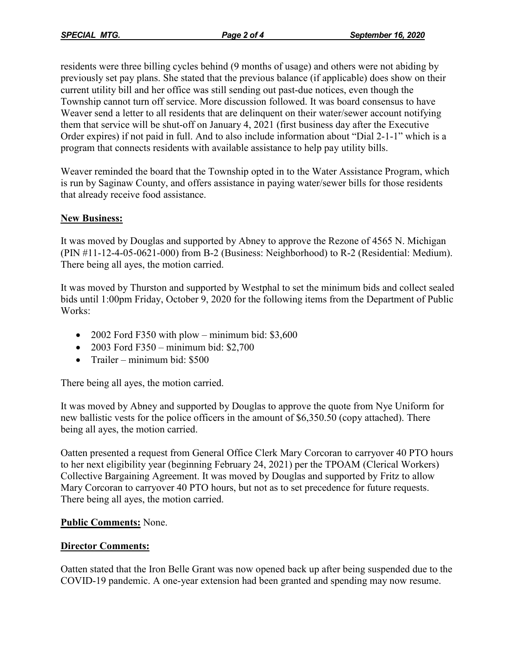residents were three billing cycles behind (9 months of usage) and others were not abiding by previously set pay plans. She stated that the previous balance (if applicable) does show on their current utility bill and her office was still sending out past-due notices, even though the Township cannot turn off service. More discussion followed. It was board consensus to have Weaver send a letter to all residents that are delinquent on their water/sewer account notifying them that service will be shut-off on January 4, 2021 (first business day after the Executive Order expires) if not paid in full. And to also include information about "Dial 2-1-1" which is a program that connects residents with available assistance to help pay utility bills.

Weaver reminded the board that the Township opted in to the Water Assistance Program, which is run by Saginaw County, and offers assistance in paying water/sewer bills for those residents that already receive food assistance.

## **New Business:**

It was moved by Douglas and supported by Abney to approve the Rezone of 4565 N. Michigan (PIN #11-12-4-05-0621-000) from B-2 (Business: Neighborhood) to R-2 (Residential: Medium). There being all ayes, the motion carried.

It was moved by Thurston and supported by Westphal to set the minimum bids and collect sealed bids until 1:00pm Friday, October 9, 2020 for the following items from the Department of Public Works:

- 2002 Ford F350 with plow minimum bid:  $$3,600$
- 2003 Ford F350 minimum bid:  $$2,700$
- $\bullet$  Trailer minimum bid: \$500

There being all ayes, the motion carried.

It was moved by Abney and supported by Douglas to approve the quote from Nye Uniform for new ballistic vests for the police officers in the amount of \$6,350.50 (copy attached). There being all ayes, the motion carried.

Oatten presented a request from General Office Clerk Mary Corcoran to carryover 40 PTO hours to her next eligibility year (beginning February 24, 2021) per the TPOAM (Clerical Workers) Collective Bargaining Agreement. It was moved by Douglas and supported by Fritz to allow Mary Corcoran to carryover 40 PTO hours, but not as to set precedence for future requests. There being all ayes, the motion carried.

## **Public Comments:** None.

## **Director Comments:**

Oatten stated that the Iron Belle Grant was now opened back up after being suspended due to the COVID-19 pandemic. A one-year extension had been granted and spending may now resume.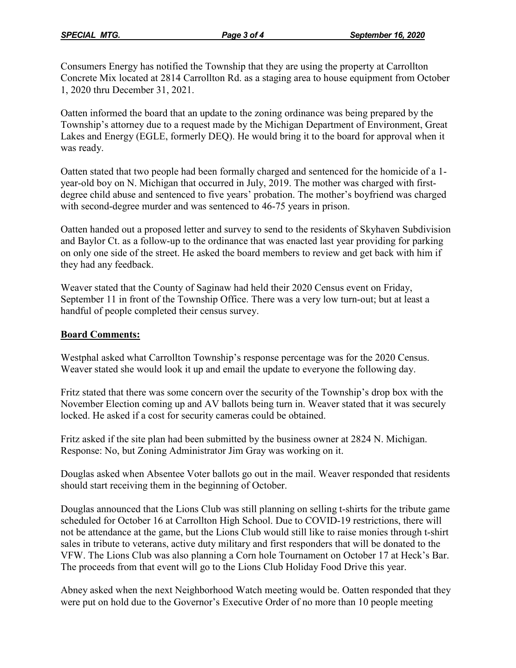Consumers Energy has notified the Township that they are using the property at Carrollton Concrete Mix located at 2814 Carrollton Rd. as a staging area to house equipment from October 1, 2020 thru December 31, 2021.

Oatten informed the board that an update to the zoning ordinance was being prepared by the Township's attorney due to a request made by the Michigan Department of Environment, Great Lakes and Energy (EGLE, formerly DEQ). He would bring it to the board for approval when it was ready.

Oatten stated that two people had been formally charged and sentenced for the homicide of a 1 year-old boy on N. Michigan that occurred in July, 2019. The mother was charged with firstdegree child abuse and sentenced to five years' probation. The mother's boyfriend was charged with second-degree murder and was sentenced to 46-75 years in prison.

Oatten handed out a proposed letter and survey to send to the residents of Skyhaven Subdivision and Baylor Ct. as a follow-up to the ordinance that was enacted last year providing for parking on only one side of the street. He asked the board members to review and get back with him if they had any feedback.

Weaver stated that the County of Saginaw had held their 2020 Census event on Friday, September 11 in front of the Township Office. There was a very low turn-out; but at least a handful of people completed their census survey.

## **Board Comments:**

Westphal asked what Carrollton Township's response percentage was for the 2020 Census. Weaver stated she would look it up and email the update to everyone the following day.

Fritz stated that there was some concern over the security of the Township's drop box with the November Election coming up and AV ballots being turn in. Weaver stated that it was securely locked. He asked if a cost for security cameras could be obtained.

Fritz asked if the site plan had been submitted by the business owner at 2824 N. Michigan. Response: No, but Zoning Administrator Jim Gray was working on it.

Douglas asked when Absentee Voter ballots go out in the mail. Weaver responded that residents should start receiving them in the beginning of October.

Douglas announced that the Lions Club was still planning on selling t-shirts for the tribute game scheduled for October 16 at Carrollton High School. Due to COVID-19 restrictions, there will not be attendance at the game, but the Lions Club would still like to raise monies through t-shirt sales in tribute to veterans, active duty military and first responders that will be donated to the VFW. The Lions Club was also planning a Corn hole Tournament on October 17 at Heck's Bar. The proceeds from that event will go to the Lions Club Holiday Food Drive this year.

Abney asked when the next Neighborhood Watch meeting would be. Oatten responded that they were put on hold due to the Governor's Executive Order of no more than 10 people meeting